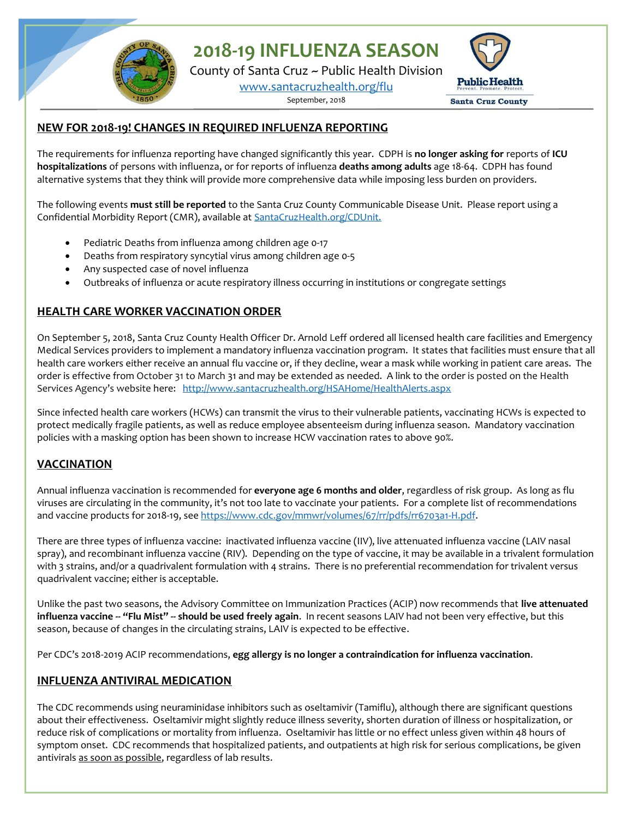**2018-19 INFLUENZA SEASON**

County of Santa Cruz ~ Public Health Division

[www.santacruzhealth.org/flu](http://www.santacruzhealth.org/flu)

September, 2018



#### **NEW FOR 2018-19! CHANGES IN REQUIRED INFLUENZA REPORTING**

The requirements for influenza reporting have changed significantly this year. CDPH is **no longer asking for** reports of **ICU hospitalizations** of persons with influenza, or for reports of influenza **deaths among adults** age 18-64. CDPH has found alternative systems that they think will provide more comprehensive data while imposing less burden on providers.

The following events **must still be reported** to the Santa Cruz County Communicable Disease Unit. Please report using a Confidential Morbidity Report (CMR), available at [SantaCruzHealth.org/CDUnit.](http://www.santacruzhealth.org/cdunit) 

- Pediatric Deaths from influenza among children age 0-17
- Deaths from respiratory syncytial virus among children age 0-5
- Any suspected case of novel influenza
- Outbreaks of influenza or acute respiratory illness occurring in institutions or congregate settings

# **HEALTH CARE WORKER VACCINATION ORDER**

On September 5, 2018, Santa Cruz County Health Officer Dr. Arnold Leff ordered all licensed health care facilities and Emergency Medical Services providers to implement a mandatory influenza vaccination program. It states that facilities must ensure that all health care workers either receive an annual flu vaccine or, if they decline, wear a mask while working in patient care areas. The order is effective from October 31 to March 31 and may be extended as needed. A link to the order is posted on the Health Services Agency's website here: <http://www.santacruzhealth.org/HSAHome/HealthAlerts.aspx>

Since infected health care workers (HCWs) can transmit the virus to their vulnerable patients, vaccinating HCWs is expected to protect medically fragile patients, as well as reduce employee absenteeism during influenza season. Mandatory vaccination policies with a masking option has been shown to increase HCW vaccination rates to above 90%.

# **VACCINATION**

Annual influenza vaccination is recommended for **everyone age 6 months and older**, regardless of risk group. As long as flu viruses are circulating in the community, it's not too late to vaccinate your patients. For a complete list of recommendations and vaccine products for 2018-19, se[e https://www.cdc.gov/mmwr/volumes/67/rr/pdfs/rr6703a1-H.pdf.](https://www.cdc.gov/mmwr/volumes/67/rr/pdfs/rr6703a1-H.pdf)

There are three types of influenza vaccine: inactivated influenza vaccine (IIV), live attenuated influenza vaccine (LAIV nasal spray), and recombinant influenza vaccine (RIV). Depending on the type of vaccine, it may be available in a trivalent formulation with 3 strains, and/or a quadrivalent formulation with 4 strains. There is no preferential recommendation for trivalent versus quadrivalent vaccine; either is acceptable.

Unlike the past two seasons, the Advisory Committee on Immunization Practices (ACIP) now recommends that **live attenuated influenza vaccine -- "Flu Mist" -- should be used freely again**. In recent seasons LAIV had not been very effective, but this season, because of changes in the circulating strains, LAIV is expected to be effective.

Per CDC's 2018-2019 ACIP recommendations, **egg allergy is no longer a contraindication for influenza vaccination**.

# **INFLUENZA ANTIVIRAL MEDICATION**

The CDC recommends using neuraminidase inhibitors such as oseltamivir (Tamiflu), although there are significant questions about their effectiveness. Oseltamivir might slightly reduce illness severity, shorten duration of illness or hospitalization, or reduce risk of complications or mortality from influenza. Oseltamivir has little or no effect unless given within 48 hours of symptom onset. CDC recommends that hospitalized patients, and outpatients at high risk for serious complications, be given antivirals as soon as possible, regardless of lab results.